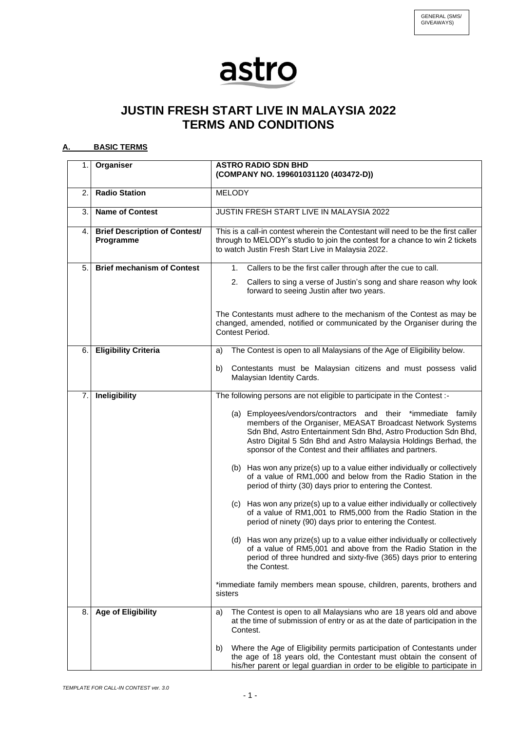## astro

## **JUSTIN FRESH START LIVE IN MALAYSIA 2022 TERMS AND CONDITIONS**

## **A. BASIC TERMS**

| 1.1 | Organiser                                         | <b>ASTRO RADIO SDN BHD</b><br>(COMPANY NO. 199601031120 (403472-D))                                                                                                                                                                                                                                                            |
|-----|---------------------------------------------------|--------------------------------------------------------------------------------------------------------------------------------------------------------------------------------------------------------------------------------------------------------------------------------------------------------------------------------|
| 2.  | <b>Radio Station</b>                              | <b>MELODY</b>                                                                                                                                                                                                                                                                                                                  |
| 3.  | <b>Name of Contest</b>                            | JUSTIN FRESH START LIVE IN MALAYSIA 2022                                                                                                                                                                                                                                                                                       |
| 4.  | <b>Brief Description of Contest/</b><br>Programme | This is a call-in contest wherein the Contestant will need to be the first caller<br>through to MELODY's studio to join the contest for a chance to win 2 tickets<br>to watch Justin Fresh Start Live in Malaysia 2022.                                                                                                        |
| 5.  | <b>Brief mechanism of Contest</b>                 | Callers to be the first caller through after the cue to call.<br>1.                                                                                                                                                                                                                                                            |
|     |                                                   | Callers to sing a verse of Justin's song and share reason why look<br>2.<br>forward to seeing Justin after two years.                                                                                                                                                                                                          |
|     |                                                   | The Contestants must adhere to the mechanism of the Contest as may be<br>changed, amended, notified or communicated by the Organiser during the<br>Contest Period.                                                                                                                                                             |
| 6.  | <b>Eligibility Criteria</b>                       | The Contest is open to all Malaysians of the Age of Eligibility below.<br>a)                                                                                                                                                                                                                                                   |
|     |                                                   | Contestants must be Malaysian citizens and must possess valid<br>b)<br>Malaysian Identity Cards.                                                                                                                                                                                                                               |
| 7.  | Ineligibility                                     | The following persons are not eligible to participate in the Contest :-                                                                                                                                                                                                                                                        |
|     |                                                   | (a) Employees/vendors/contractors and their *immediate family<br>members of the Organiser, MEASAT Broadcast Network Systems<br>Sdn Bhd, Astro Entertainment Sdn Bhd, Astro Production Sdn Bhd,<br>Astro Digital 5 Sdn Bhd and Astro Malaysia Holdings Berhad, the<br>sponsor of the Contest and their affiliates and partners. |
|     |                                                   | (b) Has won any prize(s) up to a value either individually or collectively<br>of a value of RM1,000 and below from the Radio Station in the<br>period of thirty (30) days prior to entering the Contest.                                                                                                                       |
|     |                                                   | (c) Has won any prize(s) up to a value either individually or collectively<br>of a value of RM1,001 to RM5,000 from the Radio Station in the<br>period of ninety (90) days prior to entering the Contest.                                                                                                                      |
|     |                                                   | (d) Has won any prize(s) up to a value either individually or collectively<br>of a value of RM5,001 and above from the Radio Station in the<br>period of three hundred and sixty-five (365) days prior to entering<br>the Contest.                                                                                             |
|     |                                                   | *immediate family members mean spouse, children, parents, brothers and<br>sisters                                                                                                                                                                                                                                              |
| 8.  | <b>Age of Eligibility</b>                         | The Contest is open to all Malaysians who are 18 years old and above<br>a)<br>at the time of submission of entry or as at the date of participation in the<br>Contest.                                                                                                                                                         |
|     |                                                   | Where the Age of Eligibility permits participation of Contestants under<br>b)<br>the age of 18 years old, the Contestant must obtain the consent of<br>his/her parent or legal guardian in order to be eligible to participate in                                                                                              |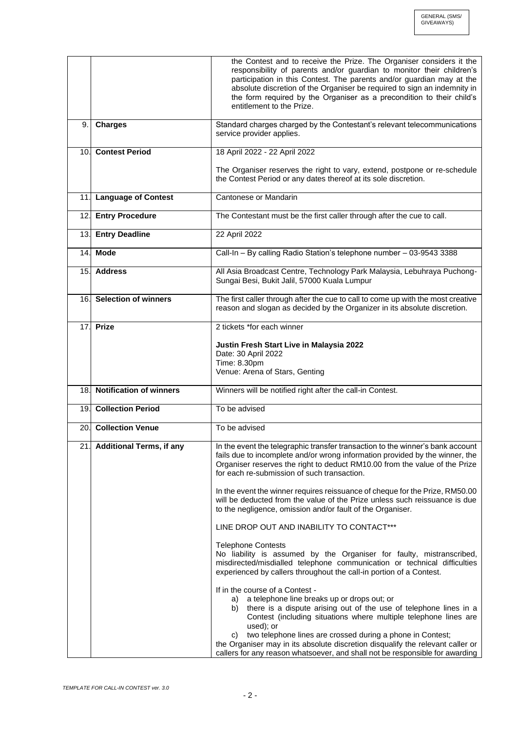|     |                              | the Contest and to receive the Prize. The Organiser considers it the<br>responsibility of parents and/or guardian to monitor their children's<br>participation in this Contest. The parents and/or guardian may at the<br>absolute discretion of the Organiser be required to sign an indemnity in<br>the form required by the Organiser as a precondition to their child's<br>entitlement to the Prize.                                                                               |
|-----|------------------------------|----------------------------------------------------------------------------------------------------------------------------------------------------------------------------------------------------------------------------------------------------------------------------------------------------------------------------------------------------------------------------------------------------------------------------------------------------------------------------------------|
| 9.  | <b>Charges</b>               | Standard charges charged by the Contestant's relevant telecommunications<br>service provider applies.                                                                                                                                                                                                                                                                                                                                                                                  |
|     | 10. Contest Period           | 18 April 2022 - 22 April 2022                                                                                                                                                                                                                                                                                                                                                                                                                                                          |
|     |                              | The Organiser reserves the right to vary, extend, postpone or re-schedule<br>the Contest Period or any dates thereof at its sole discretion.                                                                                                                                                                                                                                                                                                                                           |
|     | 11. Language of Contest      | Cantonese or Mandarin                                                                                                                                                                                                                                                                                                                                                                                                                                                                  |
| 12. | <b>Entry Procedure</b>       | The Contestant must be the first caller through after the cue to call.                                                                                                                                                                                                                                                                                                                                                                                                                 |
|     | 13. Entry Deadline           | 22 April 2022                                                                                                                                                                                                                                                                                                                                                                                                                                                                          |
|     | 14. Mode                     | Call-In - By calling Radio Station's telephone number - 03-9543 3388                                                                                                                                                                                                                                                                                                                                                                                                                   |
|     | 15. Address                  | All Asia Broadcast Centre, Technology Park Malaysia, Lebuhraya Puchong-<br>Sungai Besi, Bukit Jalil, 57000 Kuala Lumpur                                                                                                                                                                                                                                                                                                                                                                |
|     | 16. Selection of winners     | The first caller through after the cue to call to come up with the most creative<br>reason and slogan as decided by the Organizer in its absolute discretion.                                                                                                                                                                                                                                                                                                                          |
| 17. | <b>Prize</b>                 | 2 tickets *for each winner                                                                                                                                                                                                                                                                                                                                                                                                                                                             |
|     |                              | Justin Fresh Start Live in Malaysia 2022<br>Date: 30 April 2022<br>Time: 8.30pm<br>Venue: Arena of Stars, Genting                                                                                                                                                                                                                                                                                                                                                                      |
|     | 18. Notification of winners  | Winners will be notified right after the call-in Contest.                                                                                                                                                                                                                                                                                                                                                                                                                              |
|     | 19. Collection Period        | To be advised                                                                                                                                                                                                                                                                                                                                                                                                                                                                          |
|     | 20. Collection Venue         | To be advised                                                                                                                                                                                                                                                                                                                                                                                                                                                                          |
|     | 21. Additional Terms, if any | In the event the telegraphic transfer transaction to the winner's bank account<br>fails due to incomplete and/or wrong information provided by the winner, the<br>Organiser reserves the right to deduct RM10.00 from the value of the Prize<br>for each re-submission of such transaction.                                                                                                                                                                                            |
|     |                              | In the event the winner requires reissuance of cheque for the Prize, RM50.00<br>will be deducted from the value of the Prize unless such reissuance is due<br>to the negligence, omission and/or fault of the Organiser.                                                                                                                                                                                                                                                               |
|     |                              | LINE DROP OUT AND INABILITY TO CONTACT***                                                                                                                                                                                                                                                                                                                                                                                                                                              |
|     |                              | <b>Telephone Contests</b><br>No liability is assumed by the Organiser for faulty, mistranscribed,<br>misdirected/misdialled telephone communication or technical difficulties<br>experienced by callers throughout the call-in portion of a Contest.                                                                                                                                                                                                                                   |
|     |                              | If in the course of a Contest -<br>a telephone line breaks up or drops out; or<br>a)<br>there is a dispute arising out of the use of telephone lines in a<br>b)<br>Contest (including situations where multiple telephone lines are<br>used); or<br>two telephone lines are crossed during a phone in Contest;<br>C)<br>the Organiser may in its absolute discretion disqualify the relevant caller or<br>callers for any reason whatsoever, and shall not be responsible for awarding |